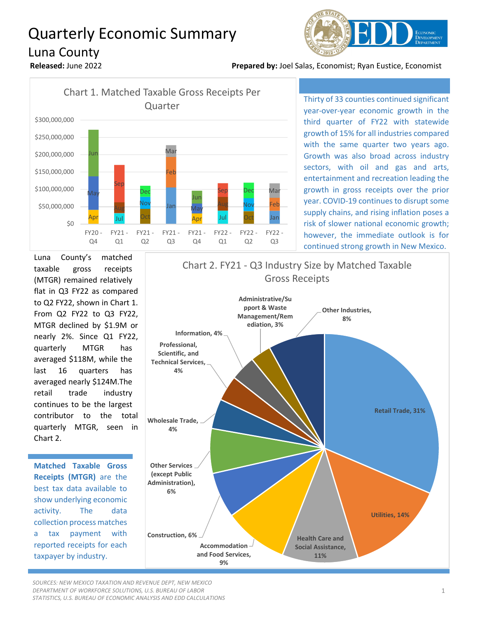## Quarterly Economic Summary Luna County







Thirty of 33 counties continued significant year-over-year economic growth in the third quarter of FY22 with statewide growth of 15% for all industries compared with the same quarter two years ago. Growth was also broad across industry sectors, with oil and gas and arts, entertainment and recreation leading the growth in gross receipts over the prior year. COVID-19 continues to disrupt some supply chains, and rising inflation poses a risk of slower national economic growth; however, the immediate outlook is for continued strong growth in New Mexico.

Luna County's matched taxable gross receipts (MTGR) remained relatively flat in Q3 FY22 as compared to Q2 FY22, shown in Chart 1. From Q2 FY22 to Q3 FY22, MTGR declined by \$1.9M or nearly 2%. Since Q1 FY22, quarterly MTGR has averaged \$118M, while the last 16 quarters has averaged nearly \$124M.The retail trade industry continues to be the largest contributor to the total quarterly MTGR, seen in Chart 2.

**Matched Taxable Gross Receipts (MTGR)** are the best tax data available to show underlying economic activity. The data collection process matches a tax payment with reported receipts for each taxpayer by industry.



*SOURCES: NEW MEXICO TAXATION AND REVENUE DEPT, NEW MEXICO DEPARTMENT OF WORKFORCE SOLUTIONS, U.S. BUREAU OF LABOR STATISTICS, U.S. BUREAU OF ECONOMIC ANALYSIS AND EDD CALCULATIONS*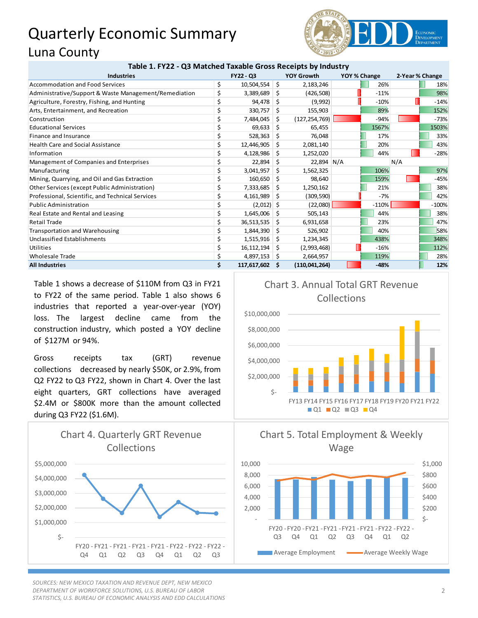## Quarterly Economic Summary Luna County



| <b>Industries</b>                                     | FY22 - Q3            |     | <b>YOY Growth</b> | YOY % Change |         | 2-Year % Change |         |
|-------------------------------------------------------|----------------------|-----|-------------------|--------------|---------|-----------------|---------|
| <b>Accommodation and Food Services</b>                | \$<br>10,504,554     | \$  | 2,183,246         |              | 26%     |                 | 18%     |
| Administrative/Support & Waste Management/Remediation | \$<br>3,389,689      | -S  | (426, 508)        |              | $-11%$  |                 | 98%     |
| Agriculture, Forestry, Fishing, and Hunting           | \$<br>94,478         | Ŝ   | (9,992)           |              | $-10%$  |                 | $-14%$  |
| Arts, Entertainment, and Recreation                   | \$<br>330,757        | Ŝ.  | 155,903           |              | 89%     |                 | 152%    |
| Construction                                          | \$<br>7,484,045      | \$  | (127, 254, 769)   |              | $-94%$  |                 | $-73%$  |
| <b>Educational Services</b>                           | 69,633               | S   | 65,455            |              | 1567%   |                 | 1503%   |
| Finance and Insurance                                 | 528,363              | Ŝ.  | 76,048            |              | 17%     |                 | 33%     |
| <b>Health Care and Social Assistance</b>              | 12,446,905           | S   | 2,081,140         |              | 20%     |                 | 43%     |
| Information                                           | 4,128,986            | \$  | 1,252,020         |              | 44%     |                 | $-28%$  |
| Management of Companies and Enterprises               | 22,894               | S   | 22,894 N/A        |              |         | N/A             |         |
| Manufacturing                                         | \$<br>3,041,957      | S.  | 1,562,325         |              | 106%    |                 | 97%     |
| Mining, Quarrying, and Oil and Gas Extraction         | 160,650              | -\$ | 98,640            |              | 159%    |                 | $-45%$  |
| Other Services (except Public Administration)         | \$<br>7,333,685      | \$. | 1,250,162         |              | 21%     |                 | 38%     |
| Professional, Scientific, and Technical Services      | 4,161,989            | -S  | (309, 590)        |              | $-7%$   |                 | 42%     |
| <b>Public Administration</b>                          | \$<br>$(2,012)$ \$   |     | (22,080)          |              | $-110%$ |                 | $-100%$ |
| Real Estate and Rental and Leasing                    | \$<br>1,645,006      | -S  | 505,143           |              | 44%     |                 | 38%     |
| Retail Trade                                          | \$<br>36,513,535     | S.  | 6,931,658         |              | 23%     |                 | 47%     |
| <b>Transportation and Warehousing</b>                 | \$<br>1,844,390      | -S  | 526,902           |              | 40%     |                 | 58%     |
| Unclassified Establishments                           | 1,515,916            | S.  | 1,234,345         |              | 438%    |                 | 348%    |
| Utilities                                             | \$<br>16,112,194     | -S  | (2,993,468)       |              | $-16%$  |                 | 112%    |
| <b>Wholesale Trade</b>                                | 4,897,153            | - S | 2,664,957         |              | 119%    |                 | 28%     |
| <b>All Industries</b>                                 | \$<br>117,617,602 \$ |     | (110, 041, 264)   |              | $-48%$  |                 | 12%     |

Table 1 shows a decrease of \$110M from Q3 in FY21 to FY22 of the same period. Table 1 also shows 6 industries that reported a year-over-year (YOY) loss. The largest decline came from the construction industry, which posted a YOY decline of \$127M or 94%.

Gross receipts tax (GRT) revenue collections decreased by nearly \$50K, or 2.9%, from Q2 FY22 to Q3 FY22, shown in Chart 4. Over the last eight quarters, GRT collections have averaged \$2.4M or \$800K more than the amount collected during Q3 FY22 (\$1.6M).



*SOURCES: NEW MEXICO TAXATION AND REVENUE DEPT, NEW MEXICO DEPARTMENT OF WORKFORCE SOLUTIONS, U.S. BUREAU OF LABOR STATISTICS, U.S. BUREAU OF ECONOMIC ANALYSIS AND EDD CALCULATIONS*



 $\blacksquare$ Q1  $\blacksquare$ Q2  $\blacksquare$ Q3  $\blacksquare$ Q4



Chart 3. Annual Total GRT Revenue